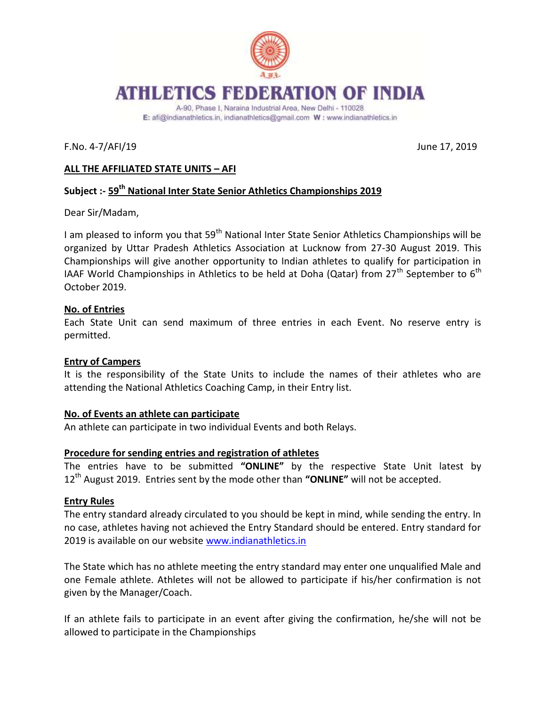

E: afi@indianathletics.in, indianathletics@gmail.com W: www.indianathletics.in

F.No. 4-7/AFI/19 June 17, 2019

# **ALL THE AFFILIATED STATE UNITS – AFI**

# **Subject :- 59th National Inter State Senior Athletics Championships 2019**

Dear Sir/Madam,

I am pleased to inform you that  $59<sup>th</sup>$  National Inter State Senior Athletics Championships will be organized by Uttar Pradesh Athletics Association at Lucknow from 27-30 August 2019. This Championships will give another opportunity to Indian athletes to qualify for participation in IAAF World Championships in Athletics to be held at Doha (Qatar) from  $27<sup>th</sup>$  September to  $6<sup>th</sup>$ October 2019.

## **No. of Entries**

Each State Unit can send maximum of three entries in each Event. No reserve entry is permitted.

## **Entry of Campers**

It is the responsibility of the State Units to include the names of their athletes who are attending the National Athletics Coaching Camp, in their Entry list.

#### **No. of Events an athlete can participate**

An athlete can participate in two individual Events and both Relays.

## **Procedure for sending entries and registration of athletes**

The entries have to be submitted **"ONLINE"** by the respective State Unit latest by 12<sup>th</sup> August 2019. Entries sent by the mode other than "ONLINE" will not be accepted.

## **Entry Rules**

The entry standard already circulated to you should be kept in mind, while sending the entry. In no case, athletes having not achieved the Entry Standard should be entered. Entry standard for 2019 is available on our website [www.indianathletics.in](http://www.indianathletics.in/)

The State which has no athlete meeting the entry standard may enter one unqualified Male and one Female athlete. Athletes will not be allowed to participate if his/her confirmation is not given by the Manager/Coach.

If an athlete fails to participate in an event after giving the confirmation, he/she will not be allowed to participate in the Championships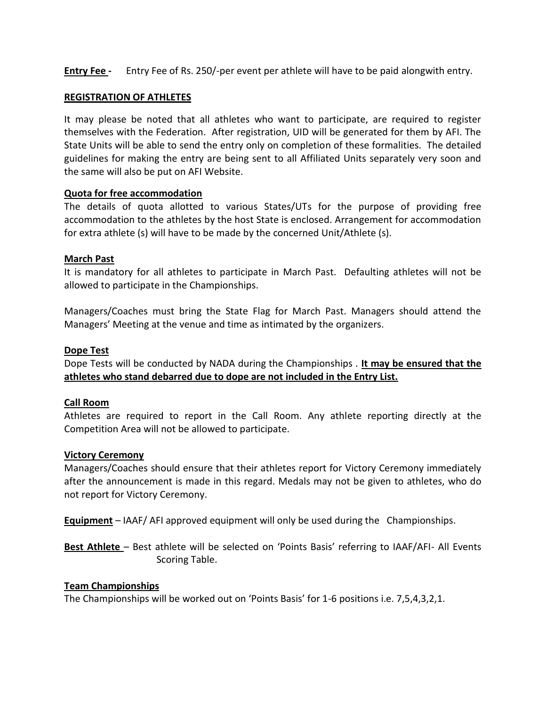**Entry Fee -** Entry Fee of Rs. 250/-per event per athlete will have to be paid alongwith entry.

### **REGISTRATION OF ATHLETES**

It may please be noted that all athletes who want to participate, are required to register themselves with the Federation. After registration, UID will be generated for them by AFI. The State Units will be able to send the entry only on completion of these formalities. The detailed guidelines for making the entry are being sent to all Affiliated Units separately very soon and the same will also be put on AFI Website.

## **Quota for free accommodation**

The details of quota allotted to various States/UTs for the purpose of providing free accommodation to the athletes by the host State is enclosed. Arrangement for accommodation for extra athlete (s) will have to be made by the concerned Unit/Athlete (s).

#### **March Past**

It is mandatory for all athletes to participate in March Past. Defaulting athletes will not be allowed to participate in the Championships.

Managers/Coaches must bring the State Flag for March Past. Managers should attend the Managers' Meeting at the venue and time as intimated by the organizers.

### **Dope Test**

Dope Tests will be conducted by NADA during the Championships . **It may be ensured that the athletes who stand debarred due to dope are not included in the Entry List.** 

#### **Call Room**

Athletes are required to report in the Call Room. Any athlete reporting directly at the Competition Area will not be allowed to participate.

#### **Victory Ceremony**

Managers/Coaches should ensure that their athletes report for Victory Ceremony immediately after the announcement is made in this regard. Medals may not be given to athletes, who do not report for Victory Ceremony.

**Equipment** – IAAF/ AFI approved equipment will only be used during the Championships.

**Best Athlete** – Best athlete will be selected on 'Points Basis' referring to IAAF/AFI- All Events Scoring Table.

### **Team Championships**

The Championships will be worked out on 'Points Basis' for 1-6 positions i.e. 7,5,4,3,2,1.